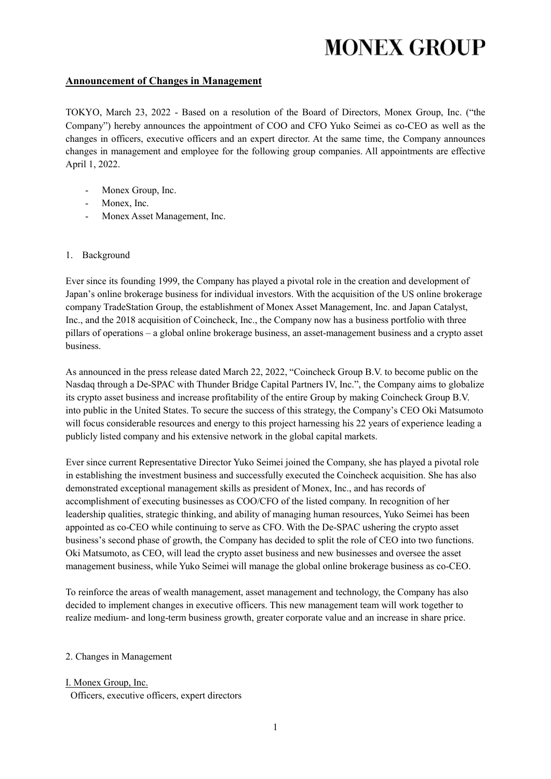#### **Announcement of Changes in Management**

TOKYO, March 23, 2022 - Based on a resolution of the Board of Directors, Monex Group, Inc. ("the Company") hereby announces the appointment of COO and CFO Yuko Seimei as co-CEO as well as the changes in officers, executive officers and an expert director. At the same time, the Company announces changes in management and employee for the following group companies. All appointments are effective April 1, 2022.

- Monex Group, Inc.
- Monex, Inc.
- Monex Asset Management, Inc.
- 1. Background

Ever since its founding 1999, the Company has played a pivotal role in the creation and development of Japan's online brokerage business for individual investors. With the acquisition of the US online brokerage company TradeStation Group, the establishment of Monex Asset Management, Inc. and Japan Catalyst, Inc., and the 2018 acquisition of Coincheck, Inc., the Company now has a business portfolio with three pillars of operations – a global online brokerage business, an asset-management business and a crypto asset business.

As announced in the press release dated March 22, 2022, "Coincheck Group B.V. to become public on the Nasdaq through a De-SPAC with Thunder Bridge Capital Partners IV, Inc.", the Company aims to globalize its crypto asset business and increase profitability of the entire Group by making Coincheck Group B.V. into public in the United States. To secure the success of this strategy, the Company's CEO Oki Matsumoto will focus considerable resources and energy to this project harnessing his 22 years of experience leading a publicly listed company and his extensive network in the global capital markets.

Ever since current Representative Director Yuko Seimei joined the Company, she has played a pivotal role in establishing the investment business and successfully executed the Coincheck acquisition. She has also demonstrated exceptional management skills as president of Monex, Inc., and has records of accomplishment of executing businesses as COO/CFO of the listed company. In recognition of her leadership qualities, strategic thinking, and ability of managing human resources, Yuko Seimei has been appointed as co-CEO while continuing to serve as CFO. With the De-SPAC ushering the crypto asset business's second phase of growth, the Company has decided to split the role of CEO into two functions. Oki Matsumoto, as CEO, will lead the crypto asset business and new businesses and oversee the asset management business, while Yuko Seimei will manage the global online brokerage business as co-CEO.

To reinforce the areas of wealth management, asset management and technology, the Company has also decided to implement changes in executive officers. This new management team will work together to realize medium- and long-term business growth, greater corporate value and an increase in share price.

#### 2. Changes in Management

I. Monex Group, Inc. Officers, executive officers, expert directors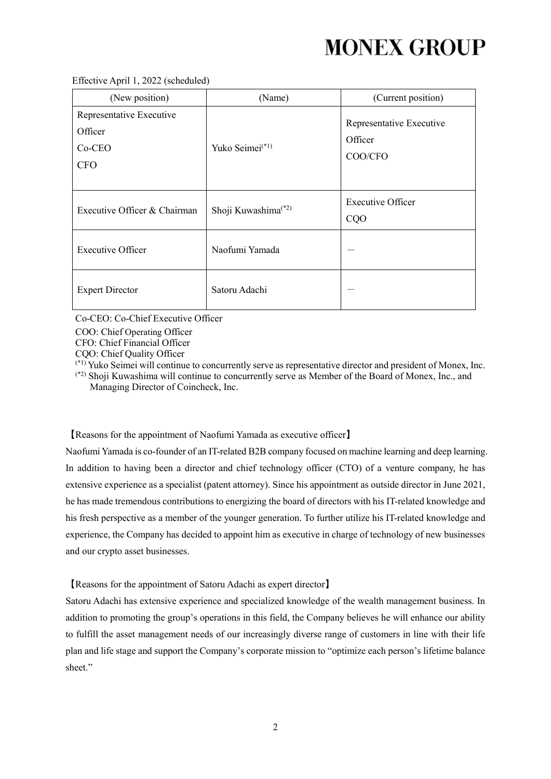| (New position)                                                | (Name)                          | (Current position)                             |
|---------------------------------------------------------------|---------------------------------|------------------------------------------------|
| Representative Executive<br>Officer<br>$Co-CEO$<br><b>CFO</b> | Yuko Seimei <sup>(*1)</sup>     | Representative Executive<br>Officer<br>COO/CFO |
| Executive Officer & Chairman                                  | Shoji Kuwashima <sup>(*2)</sup> | Executive Officer<br>CQO                       |
| <b>Executive Officer</b>                                      | Naofumi Yamada                  |                                                |
| <b>Expert Director</b>                                        | Satoru Adachi                   |                                                |

Co-CEO: Co-Chief Executive Officer

COO: Chief Operating Officer

CFO: Chief Financial Officer

CQO: Chief Quality Officer

(\*1) Yuko Seimei will continue to concurrently serve as representative director and president of Monex, Inc.

(\*2) Shoji Kuwashima will continue to concurrently serve as Member of the Board of Monex, Inc., and Managing Director of Coincheck, Inc.

【Reasons for the appointment of Naofumi Yamada as executive officer】

Naofumi Yamada is co-founder of an IT-related B2B company focused on machine learning and deep learning. In addition to having been a director and chief technology officer (CTO) of a venture company, he has extensive experience as a specialist (patent attorney). Since his appointment as outside director in June 2021, he has made tremendous contributions to energizing the board of directors with his IT-related knowledge and his fresh perspective as a member of the younger generation. To further utilize his IT-related knowledge and experience, the Company has decided to appoint him as executive in charge of technology of new businesses and our crypto asset businesses.

【Reasons for the appointment of Satoru Adachi as expert director】

Satoru Adachi has extensive experience and specialized knowledge of the wealth management business. In addition to promoting the group's operations in this field, the Company believes he will enhance our ability to fulfill the asset management needs of our increasingly diverse range of customers in line with their life plan and life stage and support the Company's corporate mission to "optimize each person's lifetime balance sheet."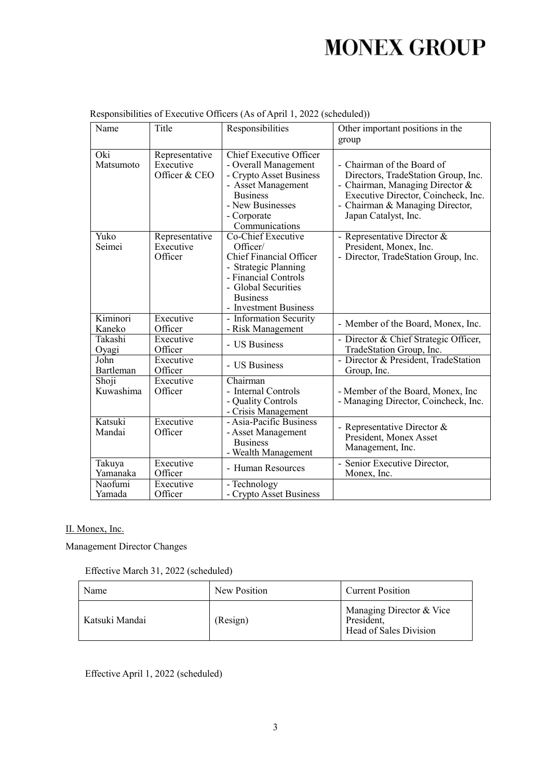| Name               | Title                                        | Responsibilities                                                                                                                                                                    | Other important positions in the<br>group                                                                                                                                                              |
|--------------------|----------------------------------------------|-------------------------------------------------------------------------------------------------------------------------------------------------------------------------------------|--------------------------------------------------------------------------------------------------------------------------------------------------------------------------------------------------------|
| Oki<br>Matsumoto   | Representative<br>Executive<br>Officer & CEO | <b>Chief Executive Officer</b><br>- Overall Management<br>- Crypto Asset Business<br>- Asset Management<br><b>Business</b><br>- New Businesses<br>- Corporate<br>Communications     | - Chairman of the Board of<br>Directors, TradeStation Group, Inc.<br>- Chairman, Managing Director &<br>Executive Director, Coincheck, Inc.<br>- Chairman & Managing Director,<br>Japan Catalyst, Inc. |
| Yuko<br>Seimei     | Representative<br>Executive<br>Officer       | Co-Chief Executive<br>Officer/<br><b>Chief Financial Officer</b><br>- Strategic Planning<br>- Financial Controls<br>- Global Securities<br><b>Business</b><br>- Investment Business | - Representative Director &<br>President, Monex, Inc.<br>- Director, TradeStation Group, Inc.                                                                                                          |
| Kiminori           | Executive                                    | - Information Security                                                                                                                                                              | - Member of the Board, Monex, Inc.                                                                                                                                                                     |
| Kaneko             | Officer                                      | - Risk Management                                                                                                                                                                   |                                                                                                                                                                                                        |
| Takashi            | Executive                                    | - US Business                                                                                                                                                                       | - Director & Chief Strategic Officer,                                                                                                                                                                  |
| Oyagi              | Officer                                      |                                                                                                                                                                                     | TradeStation Group, Inc.                                                                                                                                                                               |
| John               | Executive                                    | - US Business                                                                                                                                                                       | - Director & President, TradeStation                                                                                                                                                                   |
| Bartleman          | Officer                                      |                                                                                                                                                                                     | Group, Inc.                                                                                                                                                                                            |
| Shoji<br>Kuwashima | Executive<br>Officer                         | Chairman<br>- Internal Controls<br>- Quality Controls<br>- Crisis Management                                                                                                        | - Member of the Board, Monex, Inc<br>- Managing Director, Coincheck, Inc.                                                                                                                              |
| Katsuki<br>Mandai  | Executive<br>Officer                         | - Asia-Pacific Business<br>- Asset Management<br><b>Business</b><br>- Wealth Management                                                                                             | - Representative Director &<br>President, Monex Asset<br>Management, Inc.                                                                                                                              |
| Takuya             | Executive                                    | - Human Resources                                                                                                                                                                   | - Senior Executive Director,                                                                                                                                                                           |
| Yamanaka           | Officer                                      |                                                                                                                                                                                     | Monex, Inc.                                                                                                                                                                                            |
| Naofumi            | Executive                                    | - Technology                                                                                                                                                                        |                                                                                                                                                                                                        |
| Yamada             | Officer                                      | - Crypto Asset Business                                                                                                                                                             |                                                                                                                                                                                                        |

| Responsibilities of Executive Officers (As of April 1, 2022 (scheduled)) |  |  |  |
|--------------------------------------------------------------------------|--|--|--|
|                                                                          |  |  |  |

### II. Monex, Inc.

Management Director Changes

| Effective March 31, 2022 (scheduled) |  |
|--------------------------------------|--|
|--------------------------------------|--|

| Name           | New Position | <b>Current Position</b>                                          |
|----------------|--------------|------------------------------------------------------------------|
| Katsuki Mandai | (Resign)     | Managing Director & Vice<br>President,<br>Head of Sales Division |

Effective April 1, 2022 (scheduled)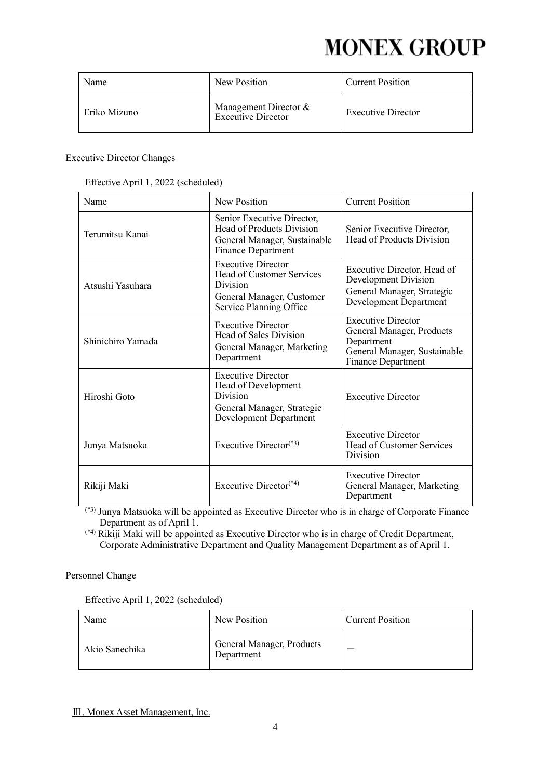| Name         | New Position                                         | <b>Current Position</b>   |
|--------------|------------------------------------------------------|---------------------------|
| Eriko Mizuno | Management Director $&$<br><b>Executive Director</b> | <b>Executive Director</b> |

#### Executive Director Changes

|  | Effective April 1, 2022 (scheduled) |  |
|--|-------------------------------------|--|
|  |                                     |  |

| Name              | New Position                                                                                                                      | <b>Current Position</b>                                                                                                    |
|-------------------|-----------------------------------------------------------------------------------------------------------------------------------|----------------------------------------------------------------------------------------------------------------------------|
| Terumitsu Kanai   | Senior Executive Director,<br><b>Head of Products Division</b><br>General Manager, Sustainable<br><b>Finance Department</b>       | Senior Executive Director,<br>Head of Products Division                                                                    |
| Atsushi Yasuhara  | <b>Executive Director</b><br>Head of Customer Services<br><b>Division</b><br>General Manager, Customer<br>Service Planning Office | Executive Director, Head of<br>Development Division<br>General Manager, Strategic<br>Development Department                |
| Shinichiro Yamada | <b>Executive Director</b><br>Head of Sales Division<br>General Manager, Marketing<br>Department                                   | <b>Executive Director</b><br>General Manager, Products<br>Department<br>General Manager, Sustainable<br>Finance Department |
| Hiroshi Goto      | <b>Executive Director</b><br>Head of Development<br><b>Division</b><br>General Manager, Strategic<br>Development Department       | <b>Executive Director</b>                                                                                                  |
| Junya Matsuoka    | Executive Director <sup>(*3)</sup>                                                                                                | <b>Executive Director</b><br>Head of Customer Services<br><b>Division</b>                                                  |
| Rikiji Maki       | Executive Director <sup>(*4)</sup>                                                                                                | <b>Executive Director</b><br>General Manager, Marketing<br>Department                                                      |

 $^{(*)}$  Junya Matsuoka will be appointed as Executive Director who is in charge of Corporate Finance Department as of April 1.

(\*4) Rikiji Maki will be appointed as Executive Director who is in charge of Credit Department, Corporate Administrative Department and Quality Management Department as of April 1.

#### Personnel Change

Effective April 1, 2022 (scheduled)

| Name           | New Position                            | <b>Current Position</b> |
|----------------|-----------------------------------------|-------------------------|
| Akio Sanechika | General Manager, Products<br>Department |                         |

Ⅲ. Monex Asset Management, Inc.